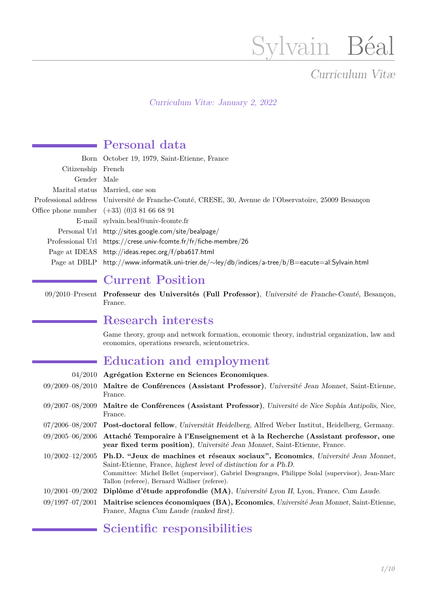# Sylvain Béal

# Curriculum Vitæ

Curriculum Vitæ: January 2, 2022

# **Personal data**

|                    | Born October 19, 1979, Saint-Etienne, France                                                             |
|--------------------|----------------------------------------------------------------------------------------------------------|
| Citizenship French |                                                                                                          |
| Gender Male        |                                                                                                          |
|                    | Marital status Married, one son                                                                          |
|                    | Professional address Université de Franche-Comté, CRESE, 30, Avenue de l'Observatoire, 25009 Besançon    |
|                    | Office phone number $(+33)(0)381666891$                                                                  |
|                    | E-mail sylvain.beal@univ-fcomte.fr                                                                       |
|                    | Personal Url http://sites.google.com/site/bealpage/                                                      |
|                    | Professional Url https://crese.univ-fcomte.fr/fr/fiche-membre/26                                         |
|                    | Page at IDEAS http://ideas.repec.org/f/pba617.html                                                       |
|                    | Page at DBLP http://www.informatik.uni-trier.de/ $\sim$ ley/db/indices/a-tree/b/B=eacute=al:Sylvain.html |

## **Current Position**

09/2010–Present **Professeur des Universités (Full Professor)**, Université de Franche-Comté, Besançon, France.

## **Research interests**

Game theory, group and network formation, economic theory, industrial organization, law and economics, operations research, scientometrics.

## **Education and employment**

| 04/2010             | Agrégation Externe en Sciences Economiques.                                                                                                                                                                                                                                                              |
|---------------------|----------------------------------------------------------------------------------------------------------------------------------------------------------------------------------------------------------------------------------------------------------------------------------------------------------|
| $09/2009 - 08/2010$ | Maître de Conférences (Assistant Professor), Université Jean Monnet, Saint-Etienne,<br>France.                                                                                                                                                                                                           |
| $09/2007 - 08/2009$ | Maître de Conférences (Assistant Professor), Université de Nice Sophia Antipolis, Nice,<br>France.                                                                                                                                                                                                       |
| $07/2006 - 08/2007$ | <b>Post-doctoral fellow</b> , Universität Heidelberg, Alfred Weber Institut, Heidelberg, Germany.                                                                                                                                                                                                        |
| $09/2005 - 06/2006$ | Attaché Temporaire à l'Enseignement et à la Recherche (Assistant professor, one<br>year fixed term position), Université Jean Monnet, Saint-Etienne, France.                                                                                                                                             |
| $10/2002 - 12/2005$ | Ph.D. "Jeux de machines et réseaux sociaux", Economics, Université Jean Monnet,<br>Saint-Etienne, France, highest level of distinction for a Ph.D.<br>Committee: Michel Bellet (supervisor), Gabriel Desgranges, Philippe Solal (supervisor), Jean-Marc<br>Tallon (referee), Bernard Walliser (referee). |
| $10/2001 - 09/2002$ | Diplôme d'étude approfondie (MA), Université Lyon II, Lyon, France, Cum Laude.                                                                                                                                                                                                                           |
| $09/1997 - 07/2001$ | Maitrise sciences économiques (BA), Economics, Université Jean Monnet, Saint-Etienne,<br>France, Magna Cum Laude (ranked first).                                                                                                                                                                         |

# **Scientific responsibilities**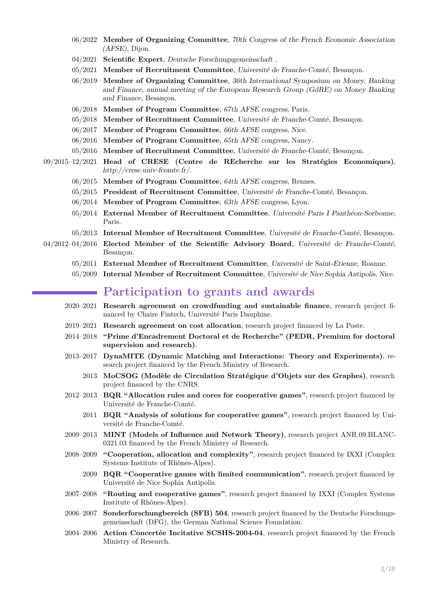- 06/2022 **Member of Organizing Committee**, 70th Congress of the French Economic Association [\(AFSE\)](http://www.afse.fr/gene/main.php), Dijon.
- 04/2021 **Scientific Expert**, [Deutsche Forschungsgemeinschaft](https://www.dfg.de/) .
- 05/2021 **Member of Recruitment Committee**, Université de Franche-Comté, Besançon.
- 06/2019 **Member of Organizing Committee**, 36th International Symposium on Money, Banking and Finance, annual meeting of the European Research Group [\(GdRE\)](https://gdre.leo-univ-orleans.fr/) on Money Banking and Finance, Besançon.
- 06/2018 **Member of Program Committee**, 67th AFSE congress, Paris.
- 05/2018 **Member of Recruitment Committee**, Université de Franche-Comté, Besançon.
- 06/2017 **Member of Program Committee**, 66th AFSE congress, Nice.
- 06/2016 **Member of Program Committee**, 65th AFSE congress, Nancy.
- 05/2016 **Member of Recruitment Committee**, Université de Franche-Comté, Besançon.
- 09/2015–12/2021 **Head of CRESE (Centre de REcherche sur les Stratégies Economiques)**, <http://crese.univ-fcomte.fr/>.
	- 06/2015 **Member of Program Committee**, 64th AFSE congress, Rennes.
	- 05/2015 **President of Recruitment Committee**, Université de Franche-Comté, Besançon.
	- 06/2014 **Member of Program Committee**, 63th AFSE congress, Lyon.
	- 05/2014 **External Member of Recruitment Committee**, Université Paris I Panthéon-Sorbonne, Paris.
	- 05/2013 **Internal Member of Recruitment Committee**, Université de Franche-Comté, Besançon.
- 04/2012–04/2016 **Elected Member of the Scientific Advisory Board**, Université de Franche-Comté, Besançon.
	- 05/2011 **External Member of Recruitment Committee**, Université de Saint-Etienne, Roanne.
	- 05/2009 **Internal Member of Recruitment Committee**, Université de Nice Sophia Antipolis, Nice.

#### **Participation to grants and awards**

- 2020–2021 **Research agreement on crowdfunding and sustainable finance**, research project financed by [Chaire Fintech, Université Paris Dauphine.](https://dauphine.psl.eu/chaire-fintech)
- 2019–2021 **Research agreement on cost allocation**, research project financed by [La Poste.](https://www.laposte.fr/)
- 2014–2018 **"Prime d'Encadrement Doctoral et de Recherche" (PEDR, Premium for doctoral supervision and research)**.
- 2013–2017 **[DynaMITE](https://sites.google.com/site/anrdynamite/home) (Dynamic Matching and Interactions: Theory and Experiments)**, research project financed by the French Ministry of Research.
	- 2013 **MoCSOG (Modèle de Circulation Stratégique d'Objets sur des Graphes)**, research project financed by the [CNRS.](http://www.cnrs.fr/)
- 2012–2013 **BQR "Allocation rules and cores for cooperative games"**, research project financed by Université de Franche-Comté.
	- 2011 **BQR "Analysis of solutions for cooperative games"**, research project financed by Université de Franche-Comté.
- 2009–2013 **MINT (Models of Influence and Network Theory)**, research project ANR.09.BLANC-0321.03 financed by the French Ministry of Research.
- 2008–2009 **"Cooperation, allocation and complexity"**, research project financed by [IXXI](http://www.ixxi.fr/) (Complex Systems Institute of Rhônes-Alpes).
	- 2009 **BQR "Cooperative games with limited communication"**, research project financed by Université de Nice Sophia Antipolis.
- 2007–2008 **"Routing and cooperative games"**, research project financed by IXXI (Complex Systems Institute of Rhônes-Alpes).
- 2006–2007 **[Sonderforschungbereich \(SFB\) 504](http://www.sfb504.uni-mannheim.de/)**, research project financed by the Deutsche Forschungsgemeinschaft (DFG), the German National Science Foundation.
- 2004–2006 **Action Concertée Incitative SCSHS-2004-04**, research project financed by the French Ministry of Research.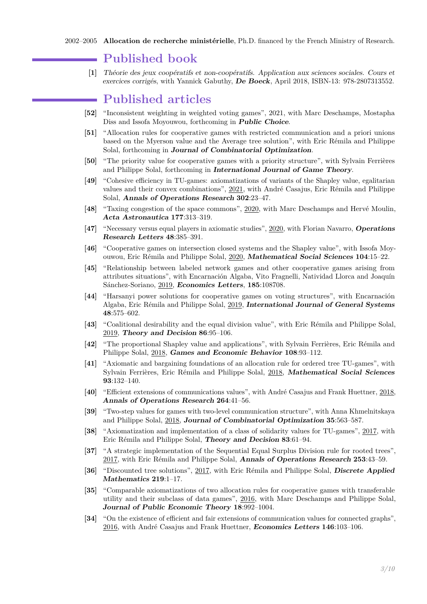#### **Published book**

**[1]** Théorie des jeux coopératifs et non-coopératifs. Application aux sciences sociales. Cours et exercices corrigés, with Yannick Gabuthy, **[De Boeck](http://www.deboecksuperieur.com/)**, April 2018, ISBN-13: 978-2807313552.

#### **Published articles**

- **[52]** "Inconsistent weighting in weighted voting games", 2021, with Marc Deschamps, Mostapha Diss and Issofa Moyouwou, forthcoming in **Public Choice**.
- **[51]** "Allocation rules for cooperative games with restricted communication and a priori unions based on the Myerson value and the Average tree solution", with Eric Rémila and Philippe Solal, forthcoming in **Journal of Combinatorial Optimization**.
- **[50]** "The priority value for cooperative games with a priority structure", with Sylvain Ferrières and Philippe Solal, forthcoming in **International Journal of Game Theory**.
- **[49]** "Cohesive efficiency in TU-games: axiomatizations of variants of the Shapley value, egalitarian values and their convex combinations", 2021, with André Casajus, Eric Rémila and Philippe Solal, **Annals of Operations Research 302**:23–47.
- **[48]** "Taxing congestion of the space commons", 2020, with Marc Deschamps and Hervé Moulin, **Acta Astronautica 177**:313–319.
- **[47]** "Necessary versus equal players in axiomatic studies", 2020, with Florian Navarro, **Operations Research Letters 48**:385–391.
- **[46]** "Cooperative games on intersection closed systems and the Shapley value", with Issofa Moyouwou, Eric Rémila and Philippe Solal, 2020, **[Mathematical Social Sciences](https://www.journals.elsevier.com/mathematical-social-sciences/) 104**:15–22.
- **[45]** "Relationship between labeled network games and other cooperative games arising from attributes situations", with Encarnación Algaba, Vito Fragnelli, Natividad Llorca and Joaquín Sánchez-Soriano, 2019, **[Economics Letters](https://www.sciencedirect.com/journal/economics-letters)**, **185**:108708.
- **[44]** "Harsanyi power solutions for cooperative games on voting structures", with Encarnación Algaba, Eric Rémila and Philippe Solal, 2019, **[International Journal of General Systems](https://www.tandfonline.com/loi/ggen20) 48**:575–602.
- **[43]** "Coalitional desirability and the equal division value", with Eric Rémila and Philippe Solal, 2019, **[Theory and Decision](https://link.springer.com/journal/11238) 86**:95–106.
- **[42]** "The proportional Shapley value and applications", with Sylvain Ferrières, Eric Rémila and Philippe Solal, 2018, **[Games and Economic Behavior](https://www.journals.elsevier.com/games-and-economic-behavior/) 108**:93–112.
- **[41]** "Axiomatic and bargaining foundations of an allocation rule for ordered tree TU-games", with Sylvain Ferrières, Eric Rémila and Philippe Solal, 2018, **[Mathematical Social Sciences](https://www.journals.elsevier.com/mathematical-social-sciences/) 93**:132–140.
- **[40]** "Efficient extensions of communications values", with André Casajus and Frank Huettner, 2018, **[Annals of Operations Research](http://www.springer.com/business+%26+management/operations+research/journal/10479) 264**:41–56.
- **[39]** "Two-step values for games with two-level communication structure", with Anna Khmelnitskaya and Philippe Solal, 2018, **[Journal of Combinatorial Optimization](https://link.springer.com/journal/10878) 35**:563–587.
- **[38]** "Axiomatization and implementation of a class of solidarity values for TU-games", 2017, with Eric Rémila and Philippe Solal, **[Theory and Decision](http://link.springer.com/journal/11238) 83**:61–94.
- **[37]** "A strategic implementation of the Sequential Equal Surplus Division rule for rooted trees", 2017, with Eric Rémila and Philippe Solal, **[Annals of Operations Research](http://www.springer.com/business+%26+management/operations+research/journal/10479) 253**:43–59.
- **[36]** "Discounted tree solutions", 2017, with Eric Rémila and Philippe Solal, **[Discrete Applied](http://www.sciencedirect.com/science/article/pii/S0166218X16305364) [Mathematics](http://www.sciencedirect.com/science/article/pii/S0166218X16305364) 219**:1–17.
- **[35]** "Comparable axiomatizations of two allocation rules for cooperative games with transferable utility and their subclass of data games", 2016, with Marc Deschamps and Philippe Solal, **[Journal of Public Economic Theory](http://onlinelibrary.wiley.com/doi/10.1111/jpet.12205/full) 18**:992–1004.
- **[34]** "On the existence of efficient and fair extensions of communication values for connected graphs", 2016, with André Casajus and Frank Huettner, **[Economics Letters](http://www.journals.elsevier.com/economics-letters) 146**:103–106.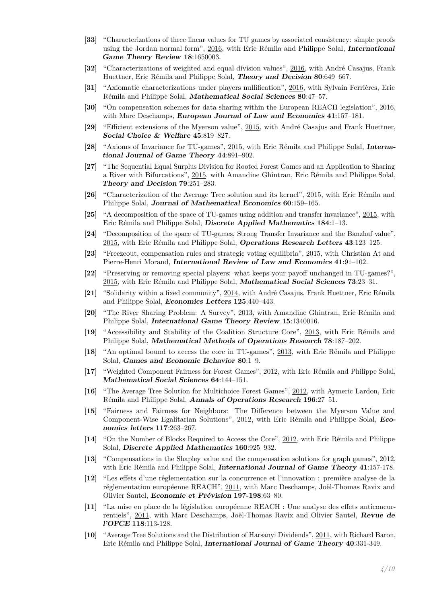- **[33]** "Characterizations of three linear values for TU games by associated consistency: simple proofs using the Jordan normal form", 2016, with Eric Rémila and Philippe Solal, **[International](http://www.worldscientific.com/worldscinet/igtr) [Game Theory Review](http://www.worldscientific.com/worldscinet/igtr) 18**:1650003.
- **[32]** "Characterizations of weighted and equal division values", 2016, with André Casajus, Frank Huettner, Eric Rémila and Philippe Solal, **[Theory and Decision](http://www.springer.com/economics/economic+theory/journal/11238) 80**:649–667.
- **[31]** "Axiomatic characterizations under players nullification", 2016, with Sylvain Ferrières, Eric Rémila and Philippe Solal, **[Mathematical Social Sciences](http://www.sciencedirect.com/science/article/pii/S0165489616000111) 80**:47–57.
- **[30]** "On compensation schemes for data sharing within the European REACH legislation", 2016, with Marc Deschamps, **[European Journal of Law and Economics](http://link.springer.com/article/10.1007/s10657-014-9468-6) 41**:157–181.
- **[29]** "Efficient extensions of the Myerson value", 2015, with André Casajus and Frank Huettner, **[Social Choice & Welfare](http://link.springer.com/article/10.1007%2Fs00355-015-0885-4) 45**:819–827.
- **[28]** "Axioms of Invariance for TU-games", 2015, with Eric Rémila and Philippe Solal, **[Interna](http://link.springer.com/article/10.1007%2Fs00182-014-0458-2)[tional Journal of Game Theory](http://link.springer.com/article/10.1007%2Fs00182-014-0458-2) 44**:891–902.
- **[27]** "The Sequential Equal Surplus Division for Rooted Forest Games and an Application to Sharing a River with Bifurcations", 2015, with Amandine Ghintran, Eric Rémila and Philippe Solal, **[Theory and Decision](http://link.springer.com/article/10.1007%2Fs11238-014-9463-y) 79**:251–283.
- **[26]** "Characterization of the Average Tree solution and its kernel", 2015, with Eric Rémila and Philippe Solal, **[Journal of Mathematical Economics](http://www.sciencedirect.com/science/article/pii/S0304406815000853) 60**:159–165.
- **[25]** "A decomposition of the space of TU-games using addition and transfer invariance", 2015, with Eric Rémila and Philippe Solal, **[Discrete Applied Mathematics](http://www.sciencedirect.com/science/article/pii/S0166218X14005496) 184**:1–13.
- **[24]** "Decomposition of the space of TU-games, Strong Transfer Invariance and the Banzhaf value", 2015, with Eric Rémila and Philippe Solal, **[Operations Research Letters](http://www.sciencedirect.com/science/article/pii/S0167637714001746) 43**:123–125.
- **[23]** "Freezeout, compensation rules and strategic voting equilibria", 2015, with Christian At and Pierre-Henri Morand, **[International Review of Law and Economics](http://www.sciencedirect.com/science/article/pii/S0144818814000775) 41**:91–102.
- **[22]** "Preserving or removing special players: what keeps your payoff unchanged in TU-games?", 2015, with Eric Rémila and Philippe Solal, **[Mathematical Social Sciences](http://www.sciencedirect.com/science/article/pii/S016548961400081X) 73**:23–31.
- **[21]** "Solidarity within a fixed community", 2014, with André Casajus, Frank Huettner, Eric Rémila and Philippe Solal, **[Economics Letters](http://www.sciencedirect.com/science/article/pii/S0165176514004121) 125**:440–443.
- **[20]** "The River Sharing Problem: A Survey", 2013, with Amandine Ghintran, Eric Rémila and Philippe Solal, **[International Game Theory Review](http://www.worldscientific.com/doi/abs/10.1142/S0219198913400161) 15**:1340016.
- **[19]** "Accessibility and Stability of the Coalition Structure Core", 2013, with Eric Rémila and Philippe Solal, **[Mathematical Methods of Operations Research](http://link.springer.com/article/10.1007/s00186-013-0439-4) 78**:187–202.
- **[18]** "An optimal bound to access the core in TU-games", 2013, with Eric Rémila and Philippe Solal, **[Games and Economic Behavior](http://www.sciencedirect.com/science/article/pii/S0899825613000304) 80**:1–9.
- **[17]** "Weighted Component Fairness for Forest Games", 2012, with Eric Rémila and Philippe Solal, **[Mathematical Social Sciences](http://dx.doi.org/10.1016/j.mathsocsci.2012.03.004) 64**:144–151.
- **[16]** "The Average Tree Solution for Multichoice Forest Games", 2012, with Aymeric Lardon, Eric Rémila and Philippe Solal, **[Annals of Operations Research](http://www.springerlink.com/content/l424tt8372260676/) 196**:27–51.
- **[15]** "Fairness and Fairness for Neighbors: The Difference between the Myerson Value and Component-Wise Egalitarian Solutions", 2012, with Eric Rémila and Philippe Solal, **[Eco](http://dx.doi.org.gate3.inist.fr/10.1016/j.econlet.2012.05.020)[nomics letters](http://dx.doi.org.gate3.inist.fr/10.1016/j.econlet.2012.05.020) 117**:263–267.
- **[14]** "On the Number of Blocks Required to Access the Core", 2012, with Eric Rémila and Philippe Solal, **[Discrete Applied Mathematics](http://dx.doi.org.gate3.inist.fr/10.1016/j.dam.2011.12.022) 160**:925–932.
- **[13]** "Compensations in the Shapley value and the compensation solutions for graph games", 2012, with Eric Rémila and Philippe Solal, **[International Journal of Game Theory](http://dx.doi.org/10.1007/s00182-010-0245-7) 41**:157-178.
- **[12]** "Les effets d'une réglementation sur la concurrence et l'innovation : première analyse de la réglementation européenne REACH", 2011, with Marc Deschamps, Joël-Thomas Ravix and Olivier Sautel, **Economie et Prévision 197-198**:63–80.
- **[11]** "La mise en place de la législation européenne REACH : Une analyse des effets anticoncurrentiels", 2011, with Marc Deschamps, Joël-Thomas Ravix and Olivier Sautel, **Revue de l'OFCE 118**:113-128.
- **[10]** "Average Tree Solutions and the Distribution of Harsanyi Dividends", 2011, with Richard Baron, Eric Rémila and Philippe Solal, **[International Journal of Game Theory](http://dx.doi.org/10.1007/s00182-010-0245-7) 40**:331-349.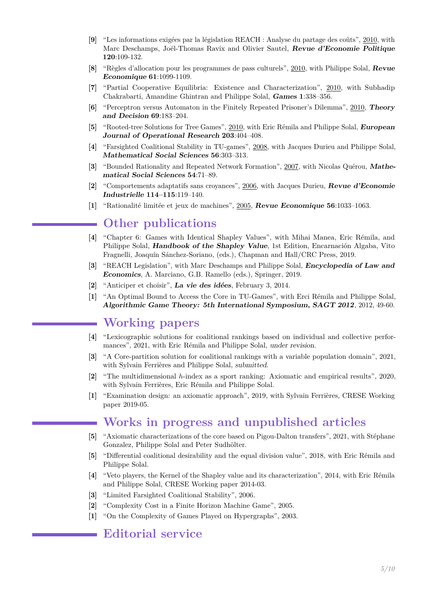- **[9]** "Les informations exigées par la législation REACH : Analyse du partage des coûts", 2010, with Marc Deschamps, Joël-Thomas Ravix and Olivier Sautel, **Revue d'Economie Politique 120**:109-132.
- **[8]** "Règles d'allocation pour les programmes de pass culturels", 2010, with Philippe Solal, **Revue Economique 61**:1099-1109.
- **[7]** "Partial Cooperative Equilibria: Existence and Characterization", 2010, with Subhadip Chakrabarti, Amandine Ghintran and Philippe Solal, **[Games](http://dx.doi.org/10.3390/g1030338) 1**:338–356.
- **[6]** "Perceptron versus Automaton in the Finitely Repeated Prisoner's Dilemma", 2010, **[Theory](http://dx.doi.org/10.1007/s11238-009-9158-y) [and Decision](http://dx.doi.org/10.1007/s11238-009-9158-y) 69**:183–204.
- **[5]** "Rooted-tree Solutions for Tree Games", 2010, with Eric Rémila and Philippe Solal, **[European](http://dx.doi.org/10.1016/j.ejor.2009.07.023) [Journal of Operational Research](http://dx.doi.org/10.1016/j.ejor.2009.07.023) 203**:404–408.
- **[4]** "Farsighted Coalitional Stability in TU-games", 2008, with Jacques Durieu and Philippe Solal, **[Mathematical Social Sciences](http://dx.doi.org/10.1016/j.mathsocsci.2008.06.003) 56**:303–313.
- **[3]** "Bounded Rationality and Repeated Network Formation", 2007, with Nicolas Quérou, **[Mathe](http://dx.doi.org/10.1016/j.mathsocsci.2007.03.003)[matical Social Sciences](http://dx.doi.org/10.1016/j.mathsocsci.2007.03.003) 54**:71–89.
- **[2]** "Comportements adaptatifs sans croyances", 2006, with Jacques Durieu, **[Revue d'Economie](http://rei.revues.org/index358.html) [Industrielle](http://rei.revues.org/index358.html) 114–115**:119–140.
- **[1]** "Rationalité limitée et jeux de machines", 2005, **[Revue Economique](http://www.cairn.info/resume.php?ID_ARTICLE=RECO_565_1033) 56**:1033–1063.

## **Other publications**

- **[4]** "Chapter 6: Games with Identical Shapley Values", with Mihai Manea, Eric Rémila, and Philippe Solal, **Handbook of the Shapley Value**, 1st Edition, Encarnación Algaba, Vito Fragnelli, Joaquín Sánchez-Soriano, (eds.), Chapman and Hall/CRC Press, 2019.
- **[3]** "REACH Legislation", with Marc Deschamps and Philippe Solal, **Encyclopedia of Law and Economics**, A. Marciano, G.B. Ramello (eds.), Springer, 2019.
- **[2]** "Anticiper et choisir", **[La vie des idées](http://www.laviedesidees.fr/Anticiper-et-choisir.html)**, February 3, 2014.
- **[1]** "An Optimal Bound to Access the Core in TU-Games", with Erci Rémila and Philippe Solal, **[Algorithmic Game Theory: 5th International Symposium, SAGT 2012](http://link.springer.com/chapter/10.1007%2F978-3-642-33996-7_5)**, 2012, 49-60.

## **Working papers**

- **[4]** "Lexicographic solutions for coalitional rankings based on individual and collective performances", 2021, with Eric Rémila and Philippe Solal, under revision.
- **[3]** "A Core-partition solution for coalitional rankings with a variable population domain", 2021, with Sylvain Ferrières and Philippe Solal, submitted.
- **[2]** "The multidimensional *h*-index as a sport ranking: Axiomatic and empirical results", 2020, with Sylvain Ferrières, Eric Rémila and Philippe Solal.
- **[1]** "Examination design: an axiomatic approach", 2019, with Sylvain Ferrières, CRESE Working paper 2019-05.

## **Works in progress and unpublished articles**

- **[5]** "Axiomatic characterizations of the core based on Pigou-Dalton transfers", 2021, with Stéphane Gonzalez, Philippe Solal and Peter Sudhölter.
- **[5]** "Differential coalitional desirability and the equal division value", 2018, with Eric Rémila and Philippe Solal.
- **[4]** "Veto players, the Kernel of the Shapley value and its characterization", 2014, with Eric Rémila and Philippe Solal, CRESE Working paper 2014-03.
- **[3]** "Limited Farsighted Coalitional Stability", 2006.
- **[2]** "Complexity Cost in a Finite Horizon Machine Game", 2005.
- **[1]** "On the Complexity of Games Played on Hypergraphs", 2003.

#### **Editorial service**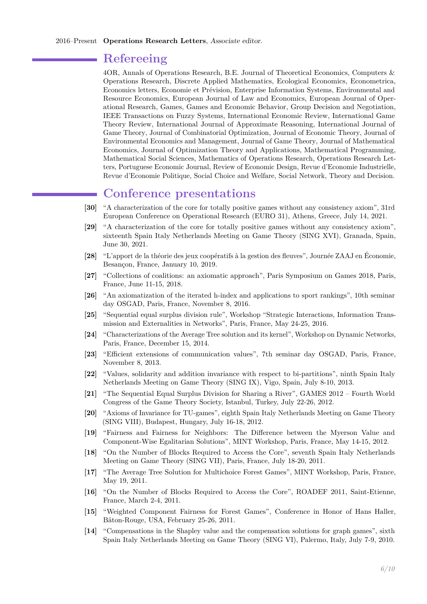#### **Refereeing**

[4OR,](http://link.springer.com/journal/10288) [Annals of Operations Research,](http://www.springer.com/business+%26+management/operations+research/journal/10479) [B.E. Journal of Theoretical Economics,](https://www.degruyter.com/view/j/bejte) [Computers &](https://www.journals.elsevier.com/computers-and-operations-research) [Operations Research,](https://www.journals.elsevier.com/computers-and-operations-research) [Discrete Applied Mathematics,](http://www.journals.elsevier.com/discrete-applied-mathematics/) [Ecological Economics,](https://www.journals.elsevier.com/ecological-economics) [Econometrica,](http://onlinelibrary.wiley.com/journal/10.1111/(ISSN)1468-0262) [Economics letters,](http://www.journals.elsevier.com/economics-letters/) [Economie et Prévision,](http://alize.finances.gouv.fr/prevision/revue/ep.htm) [Enterprise Information Systems,](http://www.tandfonline.com/loi/teis20#.VWSeHNLtlBc) [Environmental and](http://www.springer.com/economics/environmental/journal/10640) [Resource Economics,](http://www.springer.com/economics/environmental/journal/10640) [European Journal of Law and Economics,](https://link.springer.com/journal/10657) [European Journal of Oper](http://www.journals.elsevier.com/european-journal-of-operational-research/)[ational Research,](http://www.journals.elsevier.com/european-journal-of-operational-research/) [Games,](http://www.mdpi.com/journal/games/) [Games and Economic Behavior,](http://www.elsevier.com/locate/geb) [Group Decision and Negotiation,](https://link.springer.com/journal/10726) [IEEE Transactions on Fuzzy Systems,](http://ieeexplore.ieee.org/xpl/RecentIssue.jsp?punumber=91) [International Economic Review,](http://onlinelibrary.wiley.com/journal/10.1111/(ISSN)1468-2354) [International Game](http://www.worldscientific.com/worldscinet/igtr) [Theory Review,](http://www.worldscientific.com/worldscinet/igtr) [International Journal of Approximate Reasoning,](http://www.journals.elsevier.com/international-journal-of-approximate-reasoning) [International Journal of](http://www.springer.com/economics/economic+theory/journal/182) [Game Theory,](http://www.springer.com/economics/economic+theory/journal/182) [Journal of Combinatorial Optimization,](http://www.springer.com/mathematics/journal/10878) [Journal of Economic Theory,](https://www.journals.elsevier.com/journal-of-economic-theory) [Journal of](http://www.journals.elsevier.com/journal-of-environmental-economics-and-management/) [Environmental Economics and Management,](http://www.journals.elsevier.com/journal-of-environmental-economics-and-management/) [Journal of Game Theory,](http://journal.sapub.org/jgt) [Journal of Mathematical](http://www.journals.elsevier.com/journal-of-mathematical-economics/) [Economics,](http://www.journals.elsevier.com/journal-of-mathematical-economics/) [Journal of Optimization Theory and Applications,](https://www.springer.com/mathematics/journal/10957) [Mathematical Programming,](https://www.springer.com/journal/10107) [Mathematical Social Sciences,](http://www.journals.elsevier.com/mathematical-social-sciences/) [Mathematics of Operations Research,](http://pubsonline.informs.org/journal/moor) [Operations Research Let](http://www.journals.elsevier.com/operations-research-letters/)[ters,](http://www.journals.elsevier.com/operations-research-letters/) [Portuguese Economic Journal,](http://www.springer.com/economics/journal/10258) [Review of Economic Design,](https://link.springer.com/journal/10058) [Revue d'Economie Industrielle,](http://rei.revues.org/) [Revue d'Economie Politique,](https://www.cairn.info/revue-d-economie-politique.htm) [Social Choice and Welfare,](http://www.springer.com/economics/economic+theory/journal/355) [Social Network,](http://www.journals.elsevier.com/social-networks/) [Theory and Decision.](http://www.springer.com/economics/economic+theory/journal/11238)

#### **Conference presentations**

- **[30]** "A characterization of the core for totally positive games without any consistency axiom", 31rd European Conference on Operational Research (EURO 31), Athens, Greece, July 14, 2021.
- **[29]** "A characterization of the core for totally positive games without any consistency axiom", sixteenth Spain Italy Netherlands Meeting on Game Theory (SING XVI), Granada, Spain, June 30, 2021.
- **[28]** "L'apport de la théorie des jeux coopératifs à la gestion des fleuves", Journée ZAAJ en Économie, Besançon, France, January 10, 2019.
- **[27]** "Collections of coalitions: an axiomatic approach", Paris Symposium on Games 2018, Paris, France, June 11-15, 2018.
- **[26]** "An axiomatization of the iterated h-index and applications to sport rankings", 10th seminar day OSGAD, Paris, France, November 8, 2016.
- **[25]** "Sequential equal surplus division rule", Workshop "Strategic Interactions, Information Transmission and Externalities in Networks", Paris, France, May 24-25, 2016.
- **[24]** "Characterizations of the Average Tree solution and its kernel", Workshop on Dynamic Networks, Paris, France, December 15, 2014.
- **[23]** "Efficient extensions of communication values", 7th seminar day OSGAD, Paris, France, November 8, 2013.
- **[22]** "Values, solidarity and addition invariance with respect to bi-partitions", ninth Spain Italy Netherlands Meeting on Game Theory (SING IX), Vigo, Spain, July 8-10, 2013.
- **[21]** "The Sequential Equal Surplus Division for Sharing a River", GAMES 2012 Fourth World Congress of the Game Theory Society, Istanbul, Turkey, July 22-26, 2012.
- **[20]** "Axioms of Invariance for TU-games", eighth Spain Italy Netherlands Meeting on Game Theory (SING VIII), Budapest, Hungary, July 16-18, 2012.
- **[19]** "Fairness and Fairness for Neighbors: The Difference between the Myerson Value and Component-Wise Egalitarian Solutions", MINT Workshop, Paris, France, May 14-15, 2012.
- **[18]** "On the Number of Blocks Required to Access the Core", seventh Spain Italy Netherlands Meeting on Game Theory (SING VII), Paris, France, July 18-20, 2011.
- **[17]** "The Average Tree Solution for Multichoice Forest Games", MINT Workshop, Paris, France, May 19, 2011.
- **[16]** "On the Number of Blocks Required to Access the Core", ROADEF 2011, Saint-Etienne, France, March 2-4, 2011.
- **[15]** "Weighted Component Fairness for Forest Games", Conference in Honor of Hans Haller, Bâton-Rouge, USA, February 25-26, 2011.
- **[14]** "Compensations in the Shapley value and the compensation solutions for graph games", sixth Spain Italy Netherlands Meeting on Game Theory (SING VI), Palermo, Italy, July 7-9, 2010.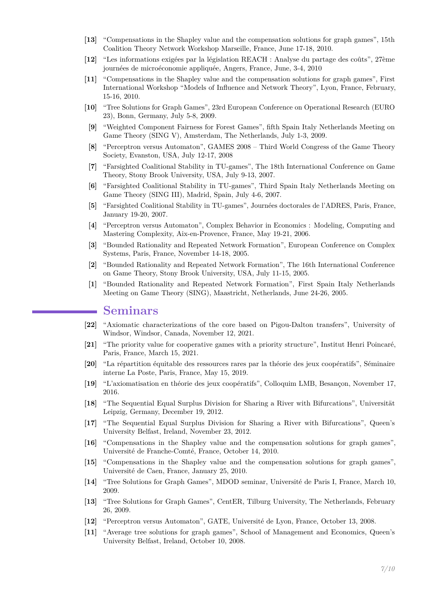- **[13]** "Compensations in the Shapley value and the compensation solutions for graph games", 15th Coalition Theory Network Workshop Marseille, France, June 17-18, 2010.
- **[12]** "Les informations exigées par la législation REACH : Analyse du partage des coûts", 27ème journées de microéconomie appliquée, Angers, France, June, 3-4, 2010
- **[11]** "Compensations in the Shapley value and the compensation solutions for graph games", First International Workshop "Models of Influence and Network Theory", Lyon, France, February, 15-16, 2010.
- **[10]** "Tree Solutions for Graph Games", 23rd European Conference on Operational Research (EURO 23), Bonn, Germany, July 5-8, 2009.
- **[9]** "Weighted Component Fairness for Forest Games", fifth Spain Italy Netherlands Meeting on Game Theory (SING V), Amsterdam, The Netherlands, July 1-3, 2009.
- **[8]** "Perceptron versus Automaton", GAMES 2008 Third World Congress of the Game Theory Society, Evanston, USA, July 12-17, 2008
- **[7]** "Farsighted Coalitional Stability in TU-games", The 18th International Conference on Game Theory, Stony Brook University, USA, July 9-13, 2007.
- **[6]** "Farsighted Coalitional Stability in TU-games", Third Spain Italy Netherlands Meeting on Game Theory (SING III), Madrid, Spain, July 4-6, 2007.
- **[5]** "Farsighted Coalitional Stability in TU-games", Journées doctorales de l'ADRES, Paris, France, January 19-20, 2007.
- **[4]** "Perceptron versus Automaton", Complex Behavior in Economics : Modeling, Computing and Mastering Complexity, Aix-en-Provence, France, May 19-21, 2006.
- **[3]** "Bounded Rationality and Repeated Network Formation", European Conference on Complex Systems, Paris, France, November 14-18, 2005.
- **[2]** "Bounded Rationality and Repeated Network Formation", The 16th International Conference on Game Theory, Stony Brook University, USA, July 11-15, 2005.
- **[1]** "Bounded Rationality and Repeated Network Formation", First Spain Italy Netherlands Meeting on Game Theory (SING), Maastricht, Netherlands, June 24-26, 2005.

#### **Seminars**

- **[22]** "Axiomatic characterizations of the core based on Pigou-Dalton transfers", University of Windsor, Windsor, Canada, November 12, 2021.
- **[21]** "The priority value for cooperative games with a priority structure", Institut Henri Poincaré, Paris, France, March 15, 2021.
- **[20]** "La répartition équitable des ressources rares par la théorie des jeux coopératifs", Séminaire interne La Poste, Paris, France, May 15, 2019.
- **[19]** "L'axiomatisation en théorie des jeux coopératifs", Colloquim LMB, Besançon, November 17, 2016.
- **[18]** "The Sequential Equal Surplus Division for Sharing a River with Bifurcations", Universität Leipzig, Germany, December 19, 2012.
- **[17]** "The Sequential Equal Surplus Division for Sharing a River with Bifurcations", Queen's University Belfast, Ireland, November 23, 2012.
- **[16]** "Compensations in the Shapley value and the compensation solutions for graph games", Université de Franche-Comté, France, October 14, 2010.
- **[15]** "Compensations in the Shapley value and the compensation solutions for graph games", Université de Caen, France, January 25, 2010.
- **[14]** "Tree Solutions for Graph Games", MDOD seminar, Université de Paris I, France, March 10, 2009.
- **[13]** "Tree Solutions for Graph Games", CentER, Tilburg University, The Netherlands, February 26, 2009.
- **[12]** "Perceptron versus Automaton", GATE, Université de Lyon, France, October 13, 2008.
- **[11]** "Average tree solutions for graph games", School of Management and Economics, Queen's University Belfast, Ireland, October 10, 2008.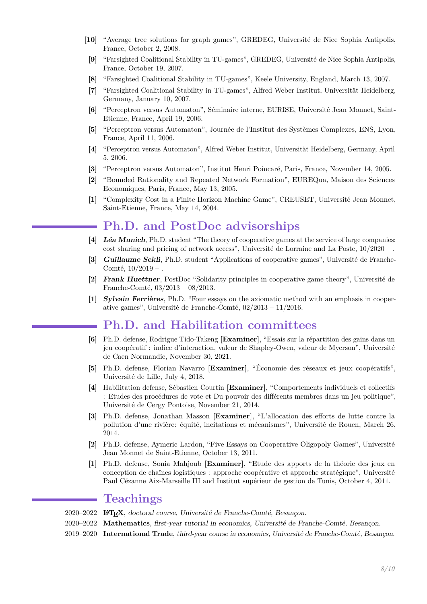- **[10]** "Average tree solutions for graph games", GREDEG, Université de Nice Sophia Antipolis, France, October 2, 2008.
- **[9]** "Farsighted Coalitional Stability in TU-games", GREDEG, Université de Nice Sophia Antipolis, France, October 19, 2007.
- **[8]** "Farsighted Coalitional Stability in TU-games", Keele University, England, March 13, 2007.
- **[7]** "Farsighted Coalitional Stability in TU-games", Alfred Weber Institut, Universität Heidelberg, Germany, January 10, 2007.
- **[6]** "Perceptron versus Automaton", Séminaire interne, EURISE, Université Jean Monnet, Saint-Etienne, France, April 19, 2006.
- **[5]** "Perceptron versus Automaton", Journée de l'Institut des Systèmes Complexes, ENS, Lyon, France, April 11, 2006.
- **[4]** "Perceptron versus Automaton", Alfred Weber Institut, Universität Heidelberg, Germany, April 5, 2006.
- **[3]** "Perceptron versus Automaton", Institut Henri Poincaré, Paris, France, November 14, 2005.
- **[2]** "Bounded Rationality and Repeated Network Formation", EUREQua, Maison des Sciences Economiques, Paris, France, May 13, 2005.
- **[1]** "Complexity Cost in a Finite Horizon Machine Game", CREUSET, Université Jean Monnet, Saint-Etienne, France, May 14, 2004.

## **Ph.D. and PostDoc advisorships**

- **[4] [Léa Munich](https://fr.linkedin.com/in/l%C3%A9a-munich-144b69184)**, Ph.D. student "The theory of cooperative games at the service of large companies: cost sharing and pricing of network access", Université de Lorraine and La Poste,  $10/2020 -$
- **[3] [Guillaume Sekli](https://crese.univ-fcomte.fr/fr/fiche-membre/66)**, Ph.D. student "Applications of cooperative games", Université de Franche-Comté,  $10/2019 -$ .
- **[2] [Frank Huettner](http://frankh�ttner.de/frankhuettner/)**, PostDoc "Solidarity principles in cooperative game theory", Université de Franche-Comté, 03/2013 – 08/2013.
- **[1] [Sylvain Ferrières](http://crese.univ-fcomte.fr/sylvain_ferrieres.html)**, Ph.D. "Four essays on the axiomatic method with an emphasis in cooperative games", Université de Franche-Comté, 02/2013 – 11/2016.

#### **Ph.D. and Habilitation committees**

- **[6]** Ph.D. defense, Rodrigue Tido-Takeng **[Examiner]**, "Essais sur la répartition des gains dans un jeu coopératif : indice d'interaction, valeur de Shapley-Owen, valeur de Myerson", Université de Caen Normandie, November 30, 2021.
- **[5]** Ph.D. defense, Florian Navarro **[Examiner]**, "Économie des réseaux et jeux coopératifs", Université de Lille, July 4, 2018.
- **[4]** Habilitation defense, Sébastien Courtin **[Examiner]**, "Comportements individuels et collectifs : Etudes des procédures de vote et Du pouvoir des différents membres dans un jeu politique", Université de Cergy Pontoise, November 21, 2014.
- **[3]** Ph.D. defense, Jonathan Masson **[Examiner]**, "L'allocation des efforts de lutte contre la pollution d'une rivière: équité, incitations et mécanismes", Université de Rouen, March 26, 2014.
- **[2]** Ph.D. defense, Aymeric Lardon, "Five Essays on Cooperative Oligopoly Games", Université Jean Monnet de Saint-Etienne, October 13, 2011.
- **[1]** Ph.D. defense, Sonia Mahjoub **[Examiner]**, "Etude des apports de la théorie des jeux en conception de chaînes logistiques : approche coopérative et approche stratégique", Université Paul Cézanne Aix-Marseille III and Institut supérieur de gestion de Tunis, October 4, 2011.

#### **Teachings**

- 2020–2022 **LATEX**, doctoral course, Université de Franche-Comté, Besançon.
- 2020–2022 **Mathematics**, first-year tutorial in economics, Université de Franche-Comté, Besançon.
- 2019–2020 **International Trade**, third-year course in economics, Université de Franche-Comté, Besançon.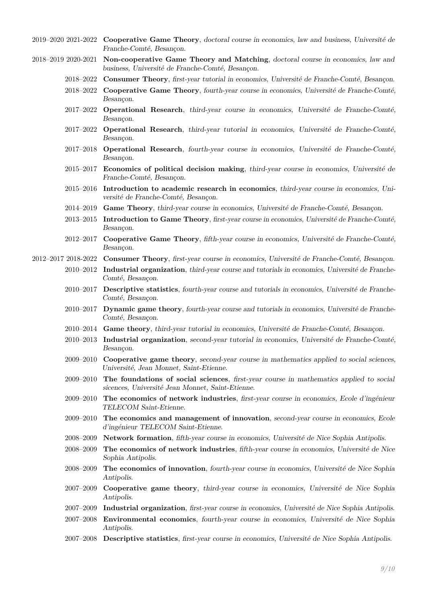- 2019–2020 2021-2022 **Cooperative Game Theory**, doctoral course in economics, law and business, Université de Franche-Comté, Besançon.
- 2018–2019 2020-2021 **Non-cooperative Game Theory and Matching**, doctoral course in economics, law and business, Université de Franche-Comté, Besançon.
	- 2018–2022 **Consumer Theory**, first-year tutorial in economics, Université de Franche-Comté, Besançon.
	- 2018–2022 **Cooperative Game Theory**, fourth-year course in economics, Université de Franche-Comté, Besançon.
	- 2017–2022 **Operational Research**, third-year course in economics, Université de Franche-Comté, Besançon.
	- 2017–2022 **Operational Research**, third-year tutorial in economics, Université de Franche-Comté, Besançon.
	- 2017–2018 **Operational Research**, fourth-year course in economics, Université de Franche-Comté, Besançon.
	- 2015–2017 **Economics of political decision making**, third-year course in economics, Université de Franche-Comté, Besançon.
	- 2015–2016 **Introduction to academic research in economics**, third-year course in economics, Université de Franche-Comté, Besançon.
	- 2014–2019 **Game Theory**, third-year course in economics, Université de Franche-Comté, Besançon.
	- 2013–2015 **Introduction to Game Theory**, first-year course in economics, Université de Franche-Comté, Besançon.
	- 2012–2017 **Cooperative Game Theory**, fifth-year course in economics, Université de Franche-Comté, Besançon.
- 2012–2017 2018-2022 **Consumer Theory**, first-year course in economics, Université de Franche-Comté, Besançon.
	- 2010–2012 **Industrial organization**, third-year course and tutorials in economics, Université de Franche-Comté, Besançon.
		- 2010–2017 **Descriptive statistics**, fourth-year course and tutorials in economics, Université de Franche-Comté, Besancon.
		- 2010–2017 **Dynamic game theory**, fourth-year course and tutorials in economics, Université de Franche-Comté, Besançon.
		- 2010–2014 **Game theory**, third-year tutorial in economics, Université de Franche-Comté, Besançon.
		- 2010–2013 **Industrial organization**, second-year tutorial in economics, Université de Franche-Comté, Besançon.
		- 2009–2010 **Cooperative game theory**, second-year course in mathematics applied to social sciences, Université, Jean Monnet, Saint-Etienne.
		- 2009–2010 **The foundations of social sciences**, first-year course in mathematics applied to social sicences, Université Jean Monnet, Saint-Etienne.
		- 2009–2010 **The economics of network industries**, first-year course in economics, Ecole d'ingénieur TELECOM Saint-Etienne.
		- 2009–2010 **The economics and management of innovation**, second-year course in economics, Ecole d'ingénieur TELECOM Saint-Etienne.
		- 2008–2009 **Network formation**, fifth-year course in economics, Université de Nice Sophia Antipolis.
		- 2008–2009 **The economics of network industries**, fifth-year course in economics, Université de Nice Sophia Antipolis.
		- 2008–2009 **The economics of innovation**, fourth-year course in economics, Université de Nice Sophia Antipolis.
		- 2007–2009 **Cooperative game theory**, third-year course in economics, Université de Nice Sophia Antipolis.
		- 2007–2009 **Industrial organization**, first-year course in economics, Université de Nice Sophia Antipolis.
		- 2007–2008 **Environmental economics**, fourth-year course in economics, Université de Nice Sophia Antipolis.
		- 2007–2008 **Descriptive statistics**, first-year course in economics, Université de Nice Sophia Antipolis.